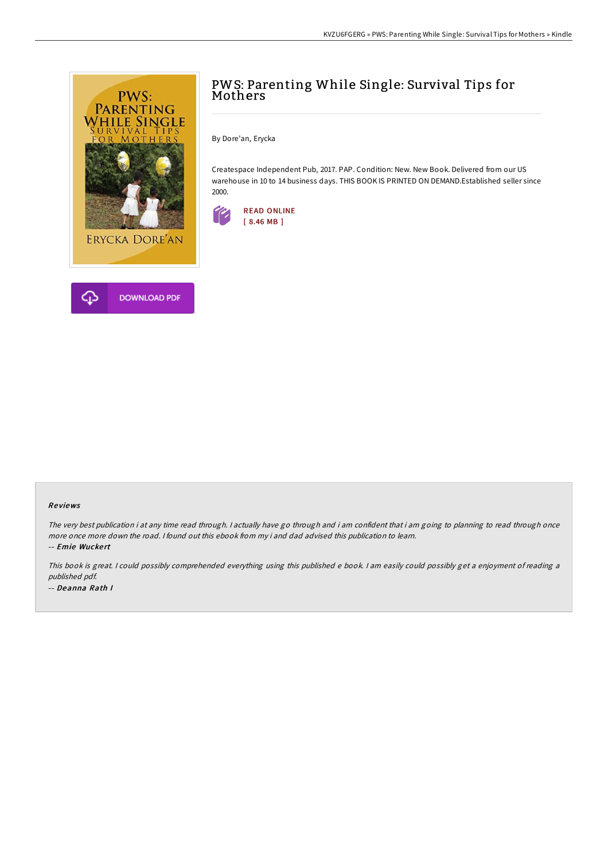

# PWS: Parenting While Single: Survival Tips for **Mothers**

By Dore'an, Erycka

Createspace Independent Pub, 2017. PAP. Condition: New. New Book. Delivered from our US warehouse in 10 to 14 business days. THIS BOOK IS PRINTED ON DEMAND.Established seller since 2000.



#### Re views

The very best publication i at any time read through. <sup>I</sup> actually have go through and i am confident that i am going to planning to read through once more once more down the road. I found out this ebook from my i and dad advised this publication to learn.

-- Emie Wuckert

This book is great. <sup>I</sup> could possibly comprehended everything using this published <sup>e</sup> book. <sup>I</sup> am easily could possibly get <sup>a</sup> enjoyment of reading <sup>a</sup> published pdf. -- Deanna Rath I